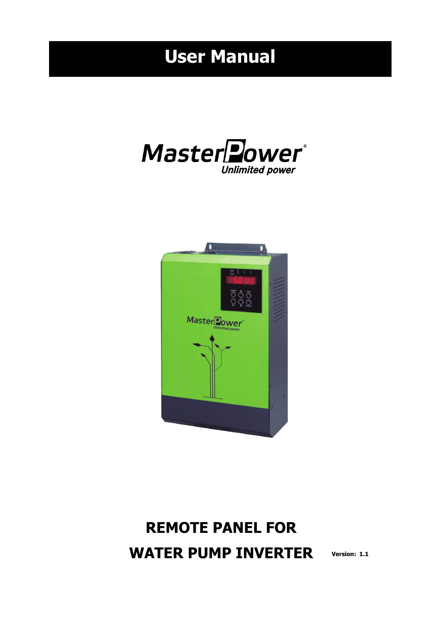# **User Manual**





## **REMOTE PANEL FOR WATER PUMP INVERTER Version: 1.1**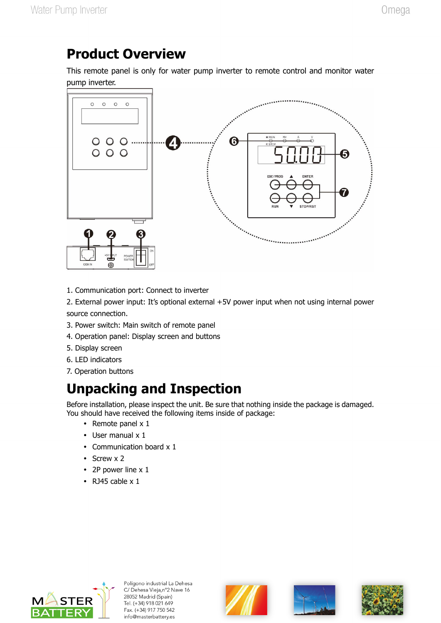### **Product Overview**

This remote panel is only for water pump inverter to remote control and monitor water pump inverter.



1. Communication port: Connect to inverter

2. External power input: It's optional external +5V power input when not using internal power source connection.

- 3. Power switch: Main switch of remote panel
- 4. Operation panel: Display screen and buttons
- 5. Display screen
- 6. LED indicators
- 7. Operation buttons

## **Unpacking and Inspection**

Before installation, please inspect the unit. Be sure that nothing inside the package is damaged. You should have received the following items inside of package:

- Remote panel  $x$  1
- User manual x 1
- Communication board x 1
- $\cdot$  Screw x 2
- 2P power line x 1
- $\cdot$  RJ45 cable x 1







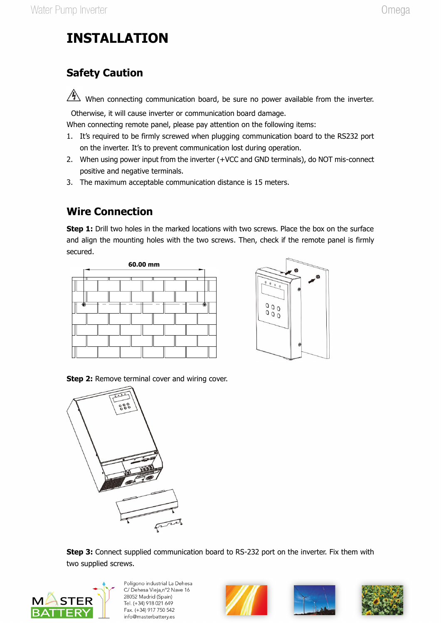## **INSTALLATION**

#### **Safety Caution**

When connecting communication board, be sure no power available from the inverter.

Otherwise, it will cause inverter or communication board damage.

When connecting remote panel, please pay attention on the following items:

- 1. It's required to be firmly screwed when plugging communication board to the RS232 port on the inverter. It's to prevent communication lost during operation.
- 2. When using power input from the inverter (+VCC and GND terminals), do NOT mis-connect positive and negative terminals.
- 3. The maximum acceptable communication distance is 15 meters.

#### **Wire Connection**

**Step 1:** Drill two holes in the marked locations with two screws. Place the box on the surface and align the mounting holes with the two screws. Then, check if the remote panel is firmly secured.





**Step 2:** Remove terminal cover and wiring cover.



**Step 3:** Connect supplied communication board to RS-232 port on the inverter. Fix them with







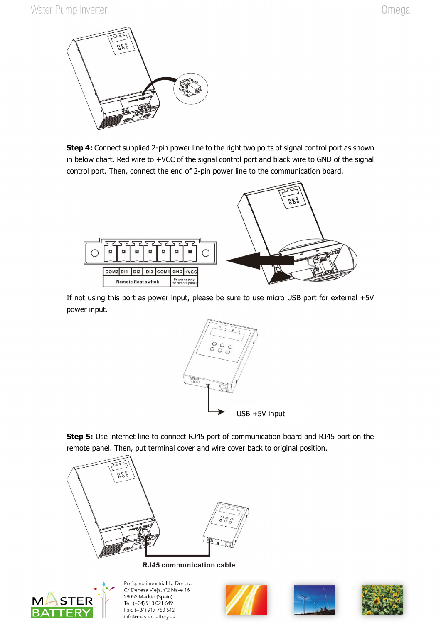

**Step 4:** Connect supplied 2-pin power line to the right two ports of signal control port as shown in below chart. Red wire to +VCC of the signal control port and black wire to GND of the signal control port. Then, connect the end of 2-pin power line to the communication board.



If not using this port as power input, please be sure to use micro USB port for external +5V power input.



**Step 5:** Use internet line to connect RJ45 port of communication board and RJ45 port on the remote panel. Then, put terminal cover and wire cover back to original position.



RJ45 communication cable